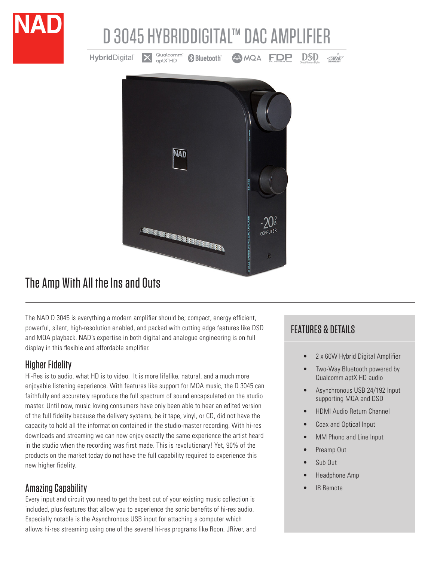

**, 相相相再相由指指由相相相相相相相相為。** 

# The Amp With All the Ins and Outs

The NAD D 3045 is everything a modern amplifier should be; compact, energy efficient, powerful, silent, high-resolution enabled, and packed with cutting edge features like DSD and MQA playback. NAD's expertise in both digital and analogue engineering is on full display in this flexible and affordable amplifier.

### Higher Fidelity

Hi-Res is to audio, what HD is to video. It is more lifelike, natural, and a much more enjoyable listening experience. With features like support for MQA music, the D 3045 can faithfully and accurately reproduce the full spectrum of sound encapsulated on the studio master. Until now, music loving consumers have only been able to hear an edited version of the full fidelity because the delivery systems, be it tape, vinyl, or CD, did not have the capacity to hold all the information contained in the studio-master recording. With hi-res downloads and streaming we can now enjoy exactly the same experience the artist heard in the studio when the recording was first made. This is revolutionary! Yet, 90% of the products on the market today do not have the full capability required to experience this new higher fidelity.

## Amazing Capability

Every input and circuit you need to get the best out of your existing music collection is included, plus features that allow you to experience the sonic benefits of hi-res audio. Especially notable is the Asynchronous USB input for attaching a computer which allows hi-res streaming using one of the several hi-res programs like Roon, JRiver, and

## FEATURES & DETAILS

- 2 x 60W Hybrid Digital Amplifier
- Two-Way Bluetooth powered by Qualcomm aptX HD audio
- Asynchronous USB 24/192 Input supporting MQA and DSD
- HDMI Audio Return Channel
- Coax and Optical Input
- MM Phono and Line Input
- Preamp Out
- Sub Out
- Headphone Amp
- **IR Remote**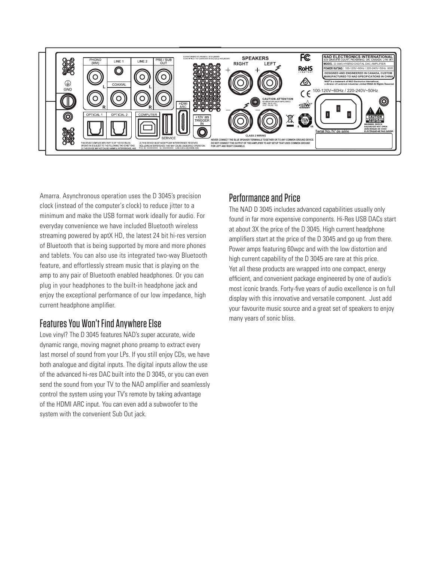

Amarra. Asynchronous operation uses the D 3045's precision clock (instead of the computer's clock) to reduce jitter to a minimum and make the USB format work ideally for audio. For everyday convenience we have included Bluetooth wireless streaming powered by aptX HD, the latest 24 bit hi-res version of Bluetooth that is being supported by more and more phones and tablets. You can also use its integrated two-way Bluetooth feature, and effortlessly stream music that is playing on the amp to any pair of Bluetooth enabled headphones. Or you can plug in your headphones to the built-in headphone jack and enjoy the exceptional performance of our low impedance, high current headphone amplifier.

### Features You Won't Find Anywhere Else

Love vinyl? The D 3045 features NAD's super accurate, wide dynamic range, moving magnet phono preamp to extract every last morsel of sound from your LPs. If you still enjoy CDs, we have both analogue and digital inputs. The digital inputs allow the use of the advanced hi-res DAC built into the D 3045, or you can even send the sound from your TV to the NAD amplifier and seamlessly control the system using your TV's remote by taking advantage of the HDMI ARC input. You can even add a subwoofer to the system with the convenient Sub Out jack.

### Performance and Price

The NAD D 3045 includes advanced capabilities usually only found in far more expensive components. Hi-Res USB DACs start at about 3X the price of the D 3045. High current headphone amplifiers start at the price of the D 3045 and go up from there. Power amps featuring 60wpc and with the low distortion and high current capability of the D 3045 are rare at this price. Yet all these products are wrapped into one compact, energy efficient, and convenient package engineered by one of audio's most iconic brands. Forty-five years of audio excellence is on full display with this innovative and versatile component. Just add your favourite music source and a great set of speakers to enjoy many years of sonic bliss.